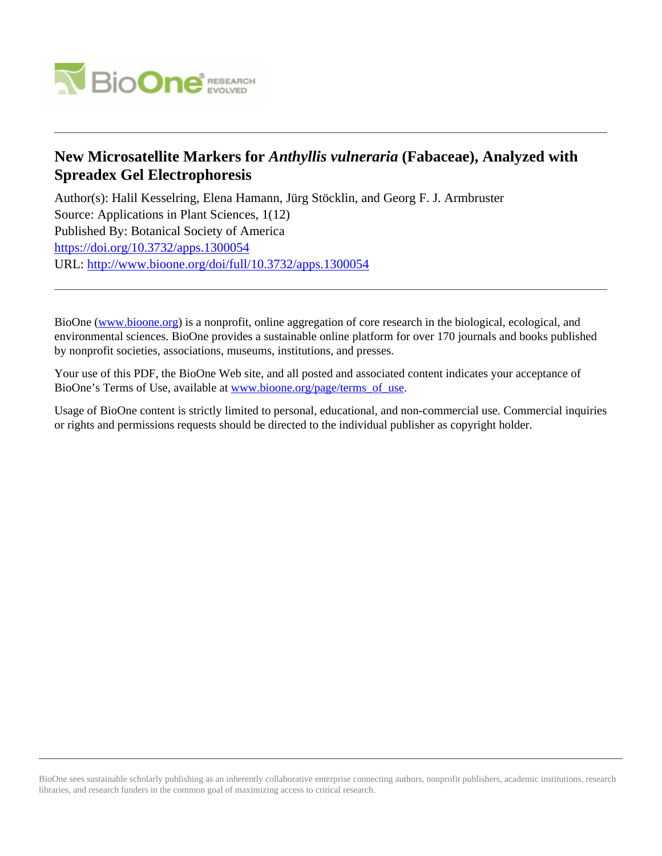

# **New Microsatellite Markers for** *Anthyllis vulneraria* **(Fabaceae), Analyzed with Spreadex Gel Electrophoresis**

Author(s): Halil Kesselring, Elena Hamann, Jürg Stöcklin, and Georg F. J. Armbruster Source: Applications in Plant Sciences, 1(12) Published By: Botanical Society of America <https://doi.org/10.3732/apps.1300054> URL: <http://www.bioone.org/doi/full/10.3732/apps.1300054>

BioOne [\(www.bioone.org\)](http://www.bioone.org) is a nonprofit, online aggregation of core research in the biological, ecological, and environmental sciences. BioOne provides a sustainable online platform for over 170 journals and books published by nonprofit societies, associations, museums, institutions, and presses.

Your use of this PDF, the BioOne Web site, and all posted and associated content indicates your acceptance of BioOne's Terms of Use, available at [www.bioone.org/page/terms\\_of\\_use.](http://www.bioone.org/page/terms_of_use)

Usage of BioOne content is strictly limited to personal, educational, and non-commercial use. Commercial inquiries or rights and permissions requests should be directed to the individual publisher as copyright holder.

BioOne sees sustainable scholarly publishing as an inherently collaborative enterprise connecting authors, nonprofit publishers, academic institutions, research libraries, and research funders in the common goal of maximizing access to critical research.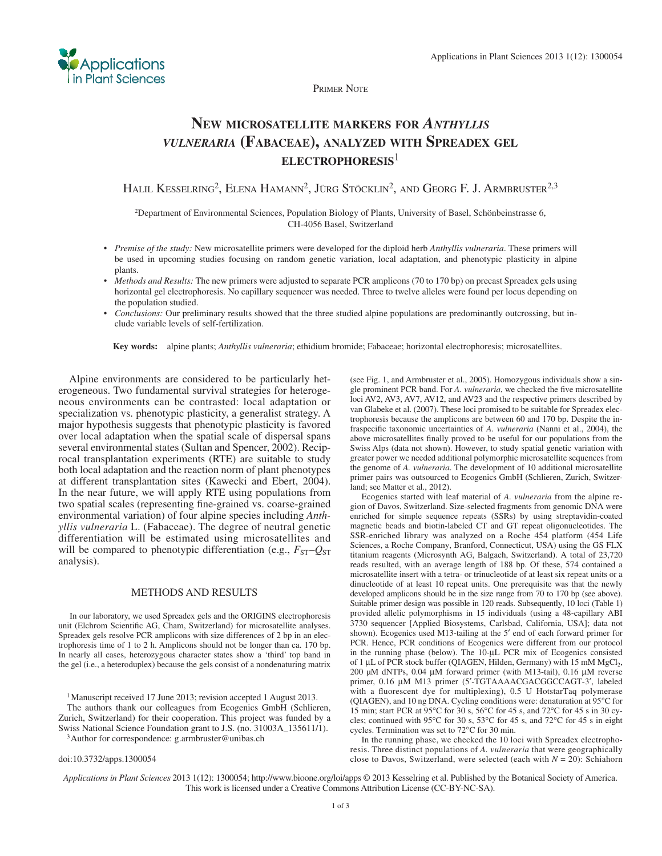

PRIMER NOTE

# **NEW MICROSATELLITE MARKERS FOR** *ANTHYLLIS VULNERARIA* **(FABACEAE), ANALYZED WITH SPREADEX GEL ELECTROPHORESIS**<sup>1</sup>

HALIL KESSELRING<sup>2</sup>, ELENA HAMANN<sup>2</sup>, JÜRG STÖCKLIN<sup>2</sup>, AND GEORG F. J. ARMBRUSTER<sup>2,3</sup>

2 Department of Environmental Sciences, Population Biology of Plants, University of Basel, Schönbeinstrasse 6, CH-4056 Basel, Switzerland

- *Premise of the study:* New microsatellite primers were developed for the diploid herb *Anthyllis vulneraria* . These primers will be used in upcoming studies focusing on random genetic variation, local adaptation, and phenotypic plasticity in alpine plants.
- *Methods and Results:* The new primers were adjusted to separate PCR amplicons (70 to 170 bp) on precast Spreadex gels using horizontal gel electrophoresis. No capillary sequencer was needed. Three to twelve alleles were found per locus depending on the population studied.
- *Conclusions:* Our preliminary results showed that the three studied alpine populations are predominantly outcrossing, but include variable levels of self-fertilization.

Key words: alpine plants; *Anthyllis vulneraria*; ethidium bromide; Fabaceae; horizontal electrophoresis; microsatellites.

 Alpine environments are considered to be particularly heterogeneous. Two fundamental survival strategies for heterogeneous environments can be contrasted: local adaptation or specialization vs. phenotypic plasticity, a generalist strategy. A major hypothesis suggests that phenotypic plasticity is favored over local adaptation when the spatial scale of dispersal spans several environmental states (Sultan and Spencer, 2002). Reciprocal transplantation experiments (RTE) are suitable to study both local adaptation and the reaction norm of plant phenotypes at different transplantation sites (Kawecki and Ebert, 2004). In the near future, we will apply RTE using populations from two spatial scales (representing fine-grained vs. coarse-grained environmental variation) of four alpine species including *Anthyllis vulneraria* L. (Fabaceae). The degree of neutral genetic differentiation will be estimated using microsatellites and will be compared to phenotypic differentiation (e.g.,  $F_{ST}$ – $Q_{ST}$ analysis).

#### METHODS AND RESULTS

 In our laboratory, we used Spreadex gels and the ORIGINS electrophoresis unit (Elchrom Scientific AG, Cham, Switzerland) for microsatellite analyses. Spreadex gels resolve PCR amplicons with size differences of 2 bp in an electrophoresis time of 1 to 2 h. Amplicons should not be longer than ca. 170 bp. In nearly all cases, heterozygous character states show a 'third' top band in the gel (i.e., a heteroduplex) because the gels consist of a nondenaturing matrix

<sup>1</sup> Manuscript received 17 June 2013; revision accepted 1 August 2013. The authors thank our colleagues from Ecogenics GmbH (Schlieren, Zurich, Switzerland) for their cooperation. This project was funded by a Swiss National Science Foundation grant to J.S. (no. 31003A\_135611/1).<br><sup>3</sup> Author for correspondence: g.armbruster@unibas.ch

# doi:10.3732/apps.1300054

(see Fig. 1, and Armbruster et al., 2005). Homozygous individuals show a single prominent PCR band. For *A. vulneraria*, we checked the five microsatellite loci AV2, AV3, AV7, AV12, and AV23 and the respective primers described by van Glabeke et al. (2007). These loci promised to be suitable for Spreadex electrophoresis because the amplicons are between 60 and 170 bp. Despite the infraspecific taxonomic uncertainties of *A. vulneraria* (Nanni et al., 2004), the above microsatellites finally proved to be useful for our populations from the Swiss Alps (data not shown). However, to study spatial genetic variation with greater power we needed additional polymorphic microsatellite sequences from the genome of *A. vulneraria* . The development of 10 additional microsatellite primer pairs was outsourced to Ecogenics GmbH (Schlieren, Zurich, Switzerland; see Matter et al., 2012).

 Ecogenics started with leaf material of *A. vulneraria* from the alpine region of Davos, Switzerland. Size-selected fragments from genomic DNA were enriched for simple sequence repeats (SSRs) by using streptavidin-coated magnetic beads and biotin-labeled CT and GT repeat oligonucleotides. The SSR-enriched library was analyzed on a Roche 454 platform (454 Life Sciences, a Roche Company, Branford, Connecticut, USA) using the GS FLX titanium reagents (Microsynth AG, Balgach, Switzerland). A total of 23,720 reads resulted, with an average length of 188 bp. Of these, 574 contained a microsatellite insert with a tetra- or trinucleotide of at least six repeat units or a dinucleotide of at least 10 repeat units. One prerequisite was that the newly developed amplicons should be in the size range from 70 to 170 bp (see above). Suitable primer design was possible in 120 reads. Subsequently, 10 loci (Table 1) provided allelic polymorphisms in 15 individuals (using a 48-capillary ABI 3730 sequencer [Applied Biosystems, Carlsbad, California, USA]; data not shown). Ecogenics used M13-tailing at the 5' end of each forward primer for PCR. Hence, PCR conditions of Ecogenics were different from our protocol in the running phase (below). The 10-μL PCR mix of Ecogenics consisted of 1 μL of PCR stock buffer (QIAGEN, Hilden, Germany) with 15 mM MgCl<sub>2</sub>, 200 μM dNTPs, 0.04 μM forward primer (with M13-tail), 0.16 μM reverse primer, 0.16 μM M13 primer (5'-TGTAAAACGACGGCCAGT-3', labeled with a fluorescent dye for multiplexing),  $0.5$  U HotstarTaq polymerase (QIAGEN), and 10 ng DNA. Cycling conditions were: denaturation at  $95^{\circ}$ C for 15 min; start PCR at  $95^{\circ}$ C for 30 s,  $56^{\circ}$ C for 45 s, and  $72^{\circ}$ C for 45 s in 30 cycles; continued with 95 $\degree$ C for 30 s, 53 $\degree$ C for 45 s, and 72 $\degree$ C for 45 s in eight cycles. Termination was set to 72°C for 30 min.

 In the running phase, we checked the 10 loci with Spreadex electrophoresis. Three distinct populations of *A. vulneraria* that were geographically close to Davos, Switzerland, were selected (each with  $N = 20$ ): Schiahorn

*Applications in Plant Sciences* 2013 1 ( 12 ): 1300054; http://www.bioone.org/loi/apps © 2013 Kesselring et al. Published by the Botanical Society of America. This work is licensed under a Creative Commons Attribution License (CC-BY-NC-SA).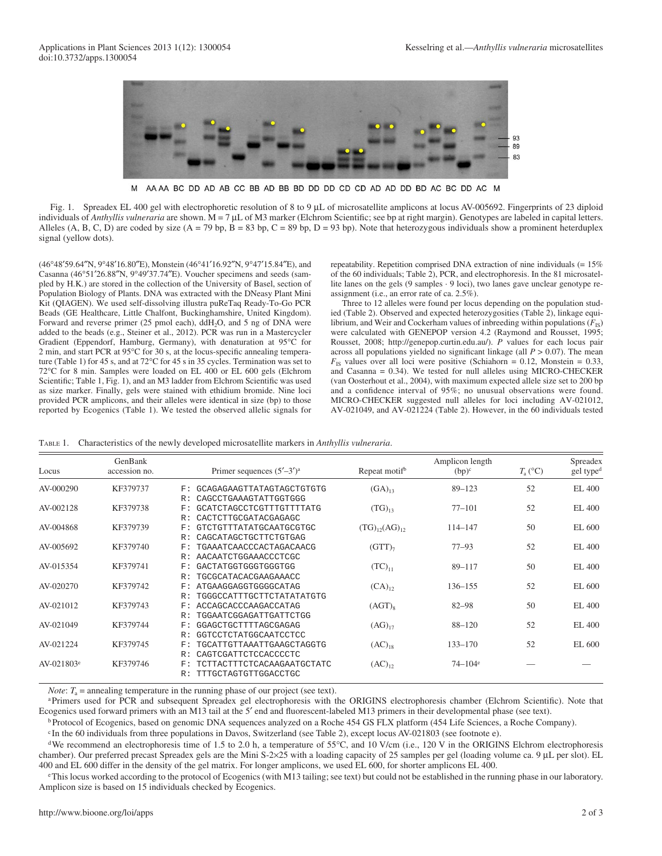

M AAAA BC DD AD AB CC BB AD BB BD DD DD CD CD AD AD DD BD AC BC DD AC M

Fig. 1. Spreadex EL 400 gel with electrophoretic resolution of 8 to 9 μL of microsatellite amplicons at locus AV-005692. Fingerprints of 23 diploid individuals of *Anthyllis vulneraria* are shown. M = 7 μL of M3 marker (Elchrom Scientific; see bp at right margin). Genotypes are labeled in capital letters. Alleles (A, B, C, D) are coded by size (A = 79 bp, B = 83 bp, C = 89 bp, D = 93 bp). Note that heterozygous individuals show a prominent heterduplex signal (yellow dots).

(46 ° 48 ′ 59.64 ″ N, 9 ° 48 ′ 16.80 ″ E), Monstein (46 ° 41 ′ 16.92 ″ N, 9 ° 47 ′ 15.84 ″ E), and Casanna (46°51'26.88"N, 9°49'37.74"E). Voucher specimens and seeds (sampled by H.K.) are stored in the collection of the University of Basel, section of Population Biology of Plants. DNA was extracted with the DNeasy Plant Mini Kit (QIAGEN). We used self-dissolving illustra puReTaq Ready-To-Go PCR Beads (GE Healthcare, Little Chalfont, Buckinghamshire, United Kingdom). Forward and reverse primer (25 pmol each), ddH<sub>2</sub>O, and 5 ng of DNA were added to the beads (e.g., Steiner et al., 2012). PCR was run in a Mastercycler Gradient (Eppendorf, Hamburg, Germany), with denaturation at 95°C for 2 min, and start PCR at  $95^{\circ}$ C for 30 s, at the locus-specific annealing temperature (Table 1) for 45 s, and at 72 $\mathrm{^{\circ}C}$  for 45 s in 35 cycles. Termination was set to  $72^{\circ}$ C for 8 min. Samples were loaded on EL 400 or EL 600 gels (Elchrom Scientific; Table 1, Fig. 1), and an M3 ladder from Elchrom Scientific was used as size marker. Finally, gels were stained with ethidium bromide. Nine loci provided PCR amplicons, and their alleles were identical in size (bp) to those reported by Ecogenics (Table 1). We tested the observed allelic signals for

repeatability. Repetition comprised DNA extraction of nine individuals (= 15% of the 60 individuals; Table 2), PCR, and electrophoresis. In the 81 microsatellite lanes on the gels (9 samples · 9 loci), two lanes gave unclear genotype reassignment (i.e., an error rate of ca. 2.5%).

 Three to 12 alleles were found per locus depending on the population studied (Table 2). Observed and expected heterozygosities (Table 2), linkage equilibrium, and Weir and Cockerham values of inbreeding within populations  $(F_{\text{IS}})$ were calculated with GENEPOP version 4.2 (Raymond and Rousset, 1995; Rousset, 2008; http://genepop.curtin.edu.au/). *P* values for each locus pair across all populations yielded no significant linkage (all  $P > 0.07$ ). The mean  $F_{\text{IS}}$  values over all loci were positive (Schiahorn = 0.12, Monstein = 0.33, and Casanna = 0.34). We tested for null alleles using MICRO-CHECKER (van Oosterhout et al., 2004), with maximum expected allele size set to 200 bp and a confidence interval of 95%; no unusual observations were found. MICRO-CHECKER suggested null alleles for loci including AV-021012, AV-021049, and AV-021224 (Table 2). However, in the 60 individuals tested

TABLE 1. Characteristics of the newly developed microsatellite markers in *Anthyllis vulneraria* .

| Locus         | GenBank<br>accession no. |              | Primer sequences $(5'–3')^a$ | Repeat motif <sup>b</sup> | Amplicon length<br>$(bp)^c$ | $T_{\rm a}$ (°C) | Spreadex<br>gel type <sup>d</sup> |
|---------------|--------------------------|--------------|------------------------------|---------------------------|-----------------------------|------------------|-----------------------------------|
| AV-000290     | KF379737                 | F:           | GCAGAGAAGTTATAGTAGCTGTGTG    | $(GA)_{13}$               | $89 - 123$                  | 52               | EL 400                            |
|               |                          | R:           | CAGCCTGAAAGTATTGGTGGG        |                           |                             |                  |                                   |
| AV-002128     | KF379738                 | F:           | GCATCTAGCCTCGTTTGTTTTATG     | $(TG)_{13}$               | $77 - 101$                  | 52               | EL 400                            |
|               |                          | R:           | CACTCTTGCGATACGAGAGC         |                           |                             |                  |                                   |
| AV-004868     | KF379739                 | F:           | GTCTGTTTATATGCAATGCGTGC      | $(TG)_{12}(AG)_{12}$      | 114-147                     | 50               | EL 600                            |
|               |                          | R:           | CAGCATAGCTGCTTCTGTGAG        |                           |                             |                  |                                   |
| AV-005692     | KF379740                 | F:           | TGAAATCAACCCACTAGACAACG      | $(GTT)_{7}$               | $77 - 93$                   | 52               | EL 400                            |
|               |                          | R:           | AACAATCTGGAAACCCTCGC         |                           |                             |                  |                                   |
| AV-015354     | KF379741                 | F:           | GACTATGGTGGGTGGGTGG          | $(TC)_{11}$               | 89-117                      | 50               | EL 400                            |
|               |                          | R:           | TGCGCATACACGAAGAAACC         |                           |                             |                  |                                   |
| AV-020270     | KF379742                 | F:           | ATGAAGGAGGTGGGGCATAG         | $(CA)_{12}$               | 136-155                     | 52               | EL 600                            |
|               |                          | R:           | TGGGCCATTTGCTTCTATATATGTG    |                           |                             |                  |                                   |
| AV-021012     | KF379743                 | F:           | ACCAGCACCCAAGACCATAG         | $(AGT)_{8}$               | $82 - 98$                   | 50               | EL 400                            |
|               |                          | R:           | TGGAATCGGAGATTGATTCTGG       |                           |                             |                  |                                   |
| AV-021049     | KF379744                 | $_{\rm F}$ : | GGAGCTGCTTTTAGCGAGAG         | $(AG)_{17}$               | $88 - 120$                  | 52               | EL 400                            |
|               |                          | R:           | GGTCCTCTATGGCAATCCTCC        |                           |                             |                  |                                   |
| AV-021224     | KF379745                 | F:           | TGCATTGTTAAATTGAAGCTAGGTG    | $(AC)_{18}$               | $133 - 170$                 | 52               | EL 600                            |
|               |                          | R:           | CAGTCGATTCTCCACCCCTC         |                           |                             |                  |                                   |
| $AV-021803^e$ | KF379746                 | F:           | TCTTACTTTCTCACAAGAATGCTATC   | $(AC)_{12}$               | $74 - 104$ <sup>e</sup>     |                  |                                   |
|               |                          | R:           | TTTGCTAGTGTTGGACCTGC         |                           |                             |                  |                                   |

*Note*:  $T_a$  = annealing temperature in the running phase of our project (see text).

<sup>a</sup> Primers used for PCR and subsequent Spreadex gel electrophoresis with the ORIGINS electrophoresis chamber (Elchrom Scientific). Note that Ecogenics used forward primers with an M13 tail at the 5' end and fluorescent-labeled M13 primers in their developmental phase (see text).

b Protocol of Ecogenics, based on genomic DNA sequences analyzed on a Roche 454 GS FLX platform (454 Life Sciences, a Roche Company).

<sup>c</sup>In the 60 individuals from three populations in Davos, Switzerland (see Table 2), except locus AV-021803 (see footnote e).

<sup>d</sup>We recommend an electrophoresis time of 1.5 to 2.0 h, a temperature of 55 $\degree$ C, and 10 V/cm (i.e., 120 V in the ORIGINS Elchrom electrophoresis chamber). Our preferred precast Spreadex gels are the Mini S-2×25 with a loading capacity of 25 samples per gel (loading volume ca. 9 μL per slot). EL 400 and EL 600 differ in the density of the gel matrix. For longer amplicons, we used EL 600, for shorter amplicons EL 400.

e This locus worked according to the protocol of Ecogenics (with M13 tailing; see text) but could not be established in the running phase in our laboratory. Amplicon size is based on 15 individuals checked by Ecogenics.